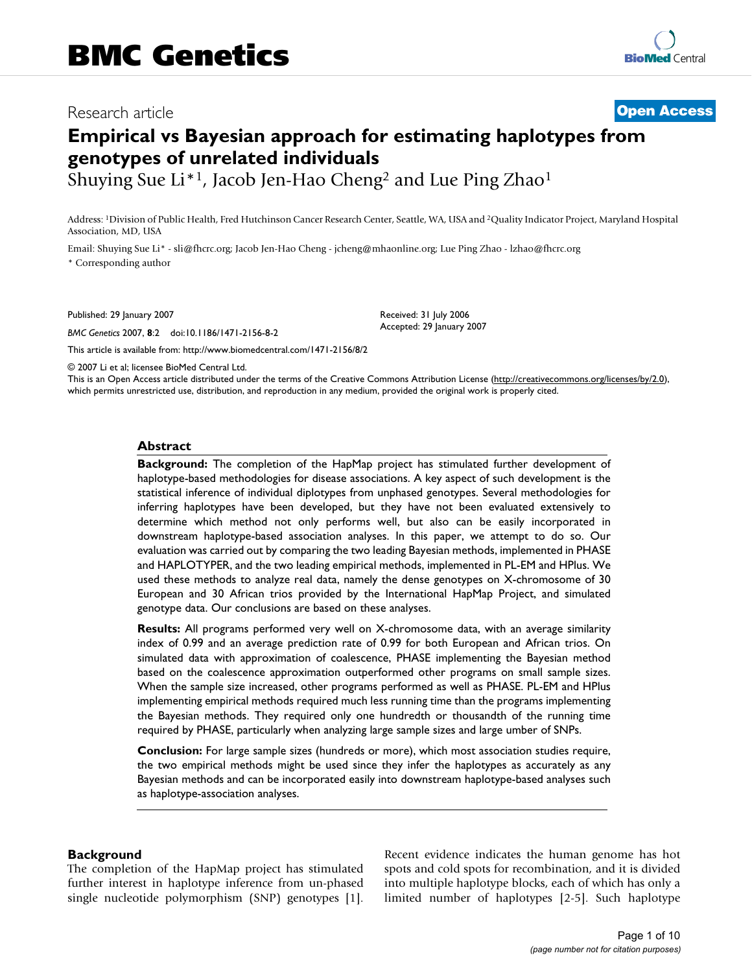# Research article **[Open Access](http://www.biomedcentral.com/info/about/charter/)**

# **Empirical vs Bayesian approach for estimating haplotypes from genotypes of unrelated individuals**

Shuying Sue Li\*1, Jacob Jen-Hao Cheng2 and Lue Ping Zhao1

Address: 1Division of Public Health, Fred Hutchinson Cancer Research Center, Seattle, WA, USA and 2Quality Indicator Project, Maryland Hospital Association, MD, USA

Email: Shuying Sue Li\* - sli@fhcrc.org; Jacob Jen-Hao Cheng - jcheng@mhaonline.org; Lue Ping Zhao - lzhao@fhcrc.org \* Corresponding author

Published: 29 January 2007

*BMC Genetics* 2007, **8**:2 doi:10.1186/1471-2156-8-2

[This article is available from: http://www.biomedcentral.com/1471-2156/8/2](http://www.biomedcentral.com/1471-2156/8/2)

Received: 31 July 2006 Accepted: 29 January 2007

© 2007 Li et al; licensee BioMed Central Ltd.

This is an Open Access article distributed under the terms of the Creative Commons Attribution License [\(http://creativecommons.org/licenses/by/2.0\)](http://creativecommons.org/licenses/by/2.0), which permits unrestricted use, distribution, and reproduction in any medium, provided the original work is properly cited.

#### **Abstract**

**Background:** The completion of the HapMap project has stimulated further development of haplotype-based methodologies for disease associations. A key aspect of such development is the statistical inference of individual diplotypes from unphased genotypes. Several methodologies for inferring haplotypes have been developed, but they have not been evaluated extensively to determine which method not only performs well, but also can be easily incorporated in downstream haplotype-based association analyses. In this paper, we attempt to do so. Our evaluation was carried out by comparing the two leading Bayesian methods, implemented in PHASE and HAPLOTYPER, and the two leading empirical methods, implemented in PL-EM and HPlus. We used these methods to analyze real data, namely the dense genotypes on X-chromosome of 30 European and 30 African trios provided by the International HapMap Project, and simulated genotype data. Our conclusions are based on these analyses.

**Results:** All programs performed very well on X-chromosome data, with an average similarity index of 0.99 and an average prediction rate of 0.99 for both European and African trios. On simulated data with approximation of coalescence, PHASE implementing the Bayesian method based on the coalescence approximation outperformed other programs on small sample sizes. When the sample size increased, other programs performed as well as PHASE. PL-EM and HPlus implementing empirical methods required much less running time than the programs implementing the Bayesian methods. They required only one hundredth or thousandth of the running time required by PHASE, particularly when analyzing large sample sizes and large umber of SNPs.

**Conclusion:** For large sample sizes (hundreds or more), which most association studies require, the two empirical methods might be used since they infer the haplotypes as accurately as any Bayesian methods and can be incorporated easily into downstream haplotype-based analyses such as haplotype-association analyses.

#### **Background**

The completion of the HapMap project has stimulated further interest in haplotype inference from un-phased single nucleotide polymorphism (SNP) genotypes [1]. Recent evidence indicates the human genome has hot spots and cold spots for recombination, and it is divided into multiple haplotype blocks, each of which has only a limited number of haplotypes [2-5]. Such haplotype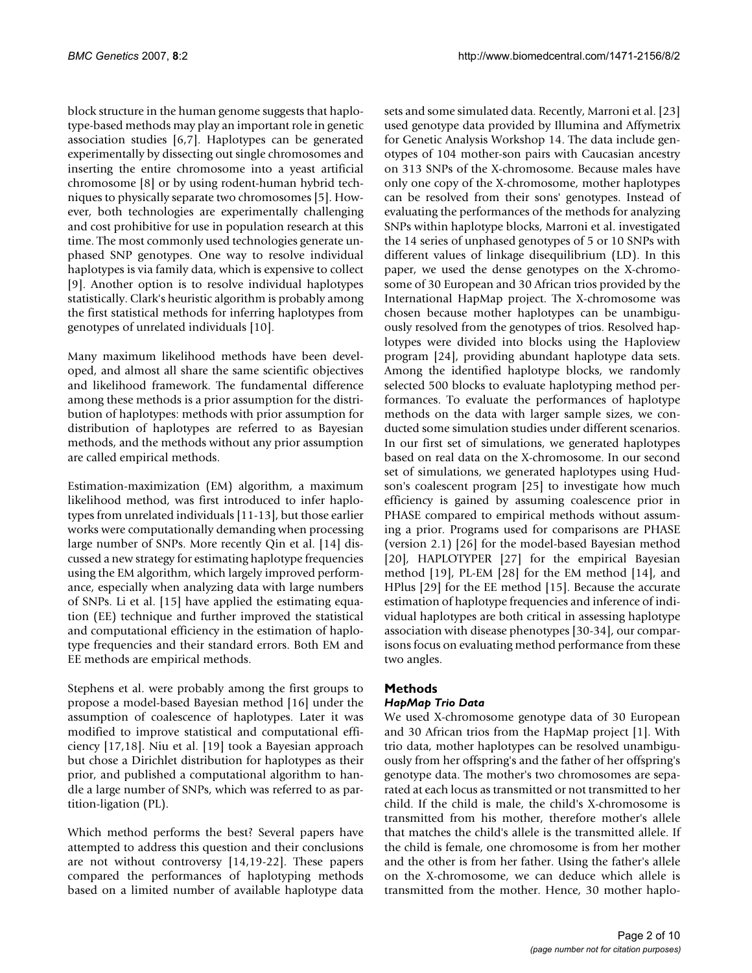block structure in the human genome suggests that haplotype-based methods may play an important role in genetic association studies [6,7]. Haplotypes can be generated experimentally by dissecting out single chromosomes and inserting the entire chromosome into a yeast artificial chromosome [8] or by using rodent-human hybrid techniques to physically separate two chromosomes [5]. However, both technologies are experimentally challenging and cost prohibitive for use in population research at this time. The most commonly used technologies generate unphased SNP genotypes. One way to resolve individual haplotypes is via family data, which is expensive to collect [9]. Another option is to resolve individual haplotypes statistically. Clark's heuristic algorithm is probably among the first statistical methods for inferring haplotypes from genotypes of unrelated individuals [10].

Many maximum likelihood methods have been developed, and almost all share the same scientific objectives and likelihood framework. The fundamental difference among these methods is a prior assumption for the distribution of haplotypes: methods with prior assumption for distribution of haplotypes are referred to as Bayesian methods, and the methods without any prior assumption are called empirical methods.

Estimation-maximization (EM) algorithm, a maximum likelihood method, was first introduced to infer haplotypes from unrelated individuals [11-13], but those earlier works were computationally demanding when processing large number of SNPs. More recently Qin et al. [14] discussed a new strategy for estimating haplotype frequencies using the EM algorithm, which largely improved performance, especially when analyzing data with large numbers of SNPs. Li et al. [15] have applied the estimating equation (EE) technique and further improved the statistical and computational efficiency in the estimation of haplotype frequencies and their standard errors. Both EM and EE methods are empirical methods.

Stephens et al. were probably among the first groups to propose a model-based Bayesian method [16] under the assumption of coalescence of haplotypes. Later it was modified to improve statistical and computational efficiency [17,18]. Niu et al. [19] took a Bayesian approach but chose a Dirichlet distribution for haplotypes as their prior, and published a computational algorithm to handle a large number of SNPs, which was referred to as partition-ligation (PL).

Which method performs the best? Several papers have attempted to address this question and their conclusions are not without controversy [14,19-22]. These papers compared the performances of haplotyping methods based on a limited number of available haplotype data

sets and some simulated data. Recently, Marroni et al. [23] used genotype data provided by Illumina and Affymetrix for Genetic Analysis Workshop 14. The data include genotypes of 104 mother-son pairs with Caucasian ancestry on 313 SNPs of the X-chromosome. Because males have only one copy of the X-chromosome, mother haplotypes can be resolved from their sons' genotypes. Instead of evaluating the performances of the methods for analyzing SNPs within haplotype blocks, Marroni et al. investigated the 14 series of unphased genotypes of 5 or 10 SNPs with different values of linkage disequilibrium (LD). In this paper, we used the dense genotypes on the X-chromosome of 30 European and 30 African trios provided by the International HapMap project. The X-chromosome was chosen because mother haplotypes can be unambiguously resolved from the genotypes of trios. Resolved haplotypes were divided into blocks using the Haploview program [24], providing abundant haplotype data sets. Among the identified haplotype blocks, we randomly selected 500 blocks to evaluate haplotyping method performances. To evaluate the performances of haplotype methods on the data with larger sample sizes, we conducted some simulation studies under different scenarios. In our first set of simulations, we generated haplotypes based on real data on the X-chromosome. In our second set of simulations, we generated haplotypes using Hudson's coalescent program [25] to investigate how much efficiency is gained by assuming coalescence prior in PHASE compared to empirical methods without assuming a prior. Programs used for comparisons are PHASE (version 2.1) [26] for the model-based Bayesian method [20], HAPLOTYPER [27] for the empirical Bayesian method [19], PL-EM [28] for the EM method [14], and HPlus [29] for the EE method [15]. Because the accurate estimation of haplotype frequencies and inference of individual haplotypes are both critical in assessing haplotype association with disease phenotypes [30-34], our comparisons focus on evaluating method performance from these two angles.

# **Methods**

### *HapMap Trio Data*

We used X-chromosome genotype data of 30 European and 30 African trios from the HapMap project [1]. With trio data, mother haplotypes can be resolved unambiguously from her offspring's and the father of her offspring's genotype data. The mother's two chromosomes are separated at each locus as transmitted or not transmitted to her child. If the child is male, the child's X-chromosome is transmitted from his mother, therefore mother's allele that matches the child's allele is the transmitted allele. If the child is female, one chromosome is from her mother and the other is from her father. Using the father's allele on the X-chromosome, we can deduce which allele is transmitted from the mother. Hence, 30 mother haplo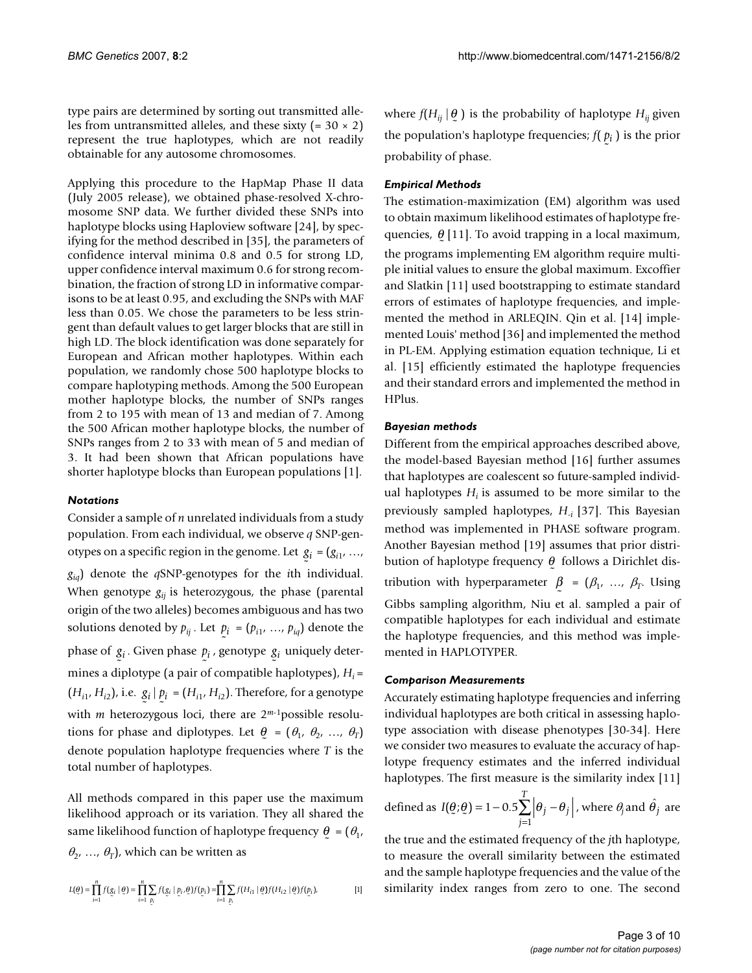type pairs are determined by sorting out transmitted alleles from untransmitted alleles, and these sixty  $(= 30 \times 2)$ represent the true haplotypes, which are not readily obtainable for any autosome chromosomes.

Applying this procedure to the HapMap Phase II data (July 2005 release), we obtained phase-resolved X-chromosome SNP data. We further divided these SNPs into haplotype blocks using Haploview software [24], by specifying for the method described in [35], the parameters of confidence interval minima 0.8 and 0.5 for strong LD, upper confidence interval maximum 0.6 for strong recombination, the fraction of strong LD in informative comparisons to be at least 0.95, and excluding the SNPs with MAF less than 0.05. We chose the parameters to be less stringent than default values to get larger blocks that are still in high LD. The block identification was done separately for European and African mother haplotypes. Within each population, we randomly chose 500 haplotype blocks to compare haplotyping methods. Among the 500 European mother haplotype blocks, the number of SNPs ranges from 2 to 195 with mean of 13 and median of 7. Among the 500 African mother haplotype blocks, the number of SNPs ranges from 2 to 33 with mean of 5 and median of 3. It had been shown that African populations have shorter haplotype blocks than European populations [1].

### *Notations*

Consider a sample of *n* unrelated individuals from a study population. From each individual, we observe *q* SNP-genotypes on a specific region in the genome. Let  $g_i = (g_{i1}, \ldots, g_{i1})$ *giq*) denote the *q*SNP-genotypes for the *i*th individual. When genotype  $g_{ii}$  is heterozygous, the phase (parental origin of the two alleles) becomes ambiguous and has two solutions denoted by  $p_{ij}$ . Let  $p_i = (p_{i1}, ..., p_{iq})$  denote the phase of  $g_i$ . Given phase  $p_i$ , genotype  $g_i$  uniquely determines a diplotype (a pair of compatible haplotypes), *Hi* =  $(H_{i1}, H_{i2})$ , i.e.  $g_i | p_i = (H_{i1}, H_{i2})$ . Therefore, for a genotype with *m* heterozygous loci, there are 2<sup>*m*-1</sup>possible resolutions for phase and diplotypes. Let  $\theta = (\theta_1, \theta_2, ..., \theta_T)$ denote population haplotype frequencies where *T* is the total number of haplotypes.  $\overline{a}$ ۔<br>.

All methods compared in this paper use the maximum likelihood approach or its variation. They all shared the same likelihood function of haplotype frequency  $\theta_{\rm c} = (\theta_{\rm 1}, \theta_{\rm 2})$  $\theta_2$ , ...,  $\theta_T$ ), which can be written as

$$
L(\underline{\theta}) = \prod_{i=1}^{n} f(g_i | \underline{\theta}) = \prod_{i=1}^{n} \sum_{\underline{p}_i} f(g_i | \underline{p}_i, \underline{\theta}) f(\underline{p}_i) = \prod_{i=1}^{n} \sum_{\underline{p}_i} f(H_{i1} | \underline{\theta}) f(H_{i2} | \underline{\theta}) f(\underline{p}_i),
$$
 [1]

where  $f(H_{ij} | \mathcal{Q})$  is the probability of haplotype  $H_{ij}$  given the population's haplotype frequencies;  $f(p_i)$  is the prior probability of phase.  $\ddot{\phantom{0}}$ 

### *Empirical Methods*

The estimation-maximization (EM) algorithm was used to obtain maximum likelihood estimates of haplotype frequencies,  $\theta$  [11]. To avoid trapping in a local maximum, the programs implementing EM algorithm require multiple initial values to ensure the global maximum. Excoffier and Slatkin [11] used bootstrapping to estimate standard errors of estimates of haplotype frequencies, and implemented the method in ARLEQIN. Qin et al. [14] implemented Louis' method [36] and implemented the method in PL-EM. Applying estimation equation technique, Li et al. [15] efficiently estimated the haplotype frequencies and their standard errors and implemented the method in HPlus.  $\tilde{ }$ 

### *Bayesian methods*

Different from the empirical approaches described above, the model-based Bayesian method [16] further assumes that haplotypes are coalescent so future-sampled individual haplotypes  $H_i$  is assumed to be more similar to the previously sampled haplotypes, *H*-*i* [37]. This Bayesian method was implemented in PHASE software program. Another Bayesian method [19] assumes that prior distribution of haplotype frequency  $\theta$  follows a Dirichlet distribution with hyperparameter  $\beta = (\beta_1, ..., \beta_T, \text{Using})$ Gibbs sampling algorithm, Niu et al. sampled a pair of compatible haplotypes for each individual and estimate the haplotype frequencies, and this method was implemented in HAPLOTYPER.  $\ddot{\phantom{0}}$ 

### *Comparison Measurements*

Accurately estimating haplotype frequencies and inferring individual haplotypes are both critical in assessing haplotype association with disease phenotypes [30-34]. Here we consider two measures to evaluate the accuracy of haplotype frequency estimates and the inferred individual haplotypes. The first measure is the similarity index [11]

defined as 
$$
I(\theta; \theta) = 1 - 0.5 \sum_{j=1}^{T} |\theta_j - \theta_j|
$$
, where  $\theta_j$  and  $\hat{\theta}_j$  are

the true and the estimated frequency of the *j*th haplotype, to measure the overall similarity between the estimated and the sample haplotype frequencies and the value of the similarity index ranges from zero to one. The second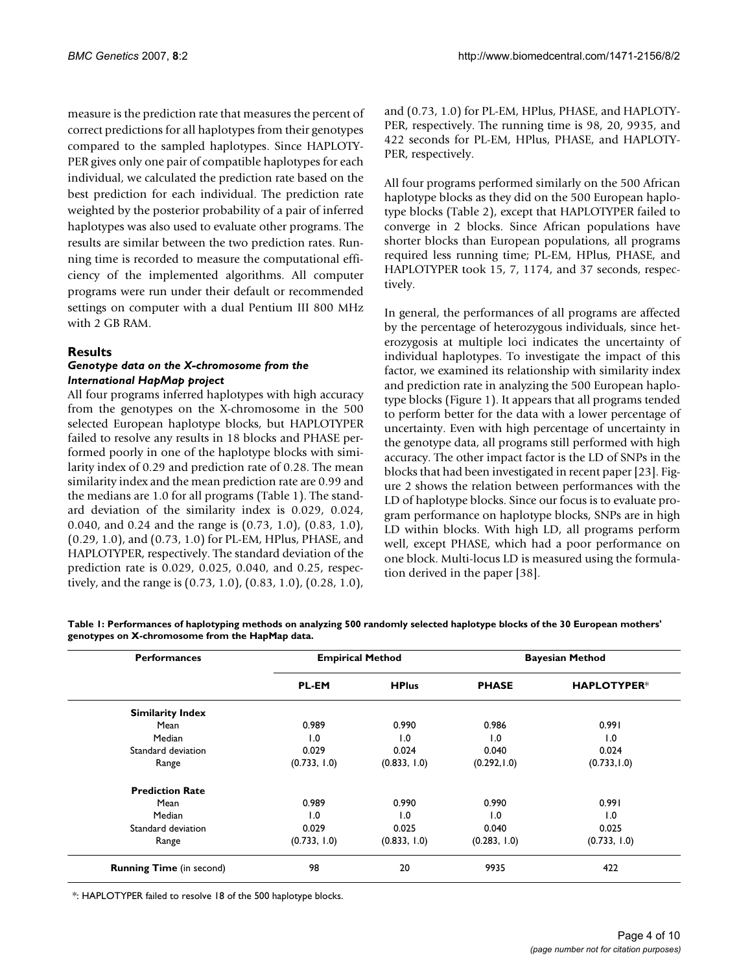measure is the prediction rate that measures the percent of correct predictions for all haplotypes from their genotypes compared to the sampled haplotypes. Since HAPLOTY-PER gives only one pair of compatible haplotypes for each individual, we calculated the prediction rate based on the best prediction for each individual. The prediction rate weighted by the posterior probability of a pair of inferred haplotypes was also used to evaluate other programs. The results are similar between the two prediction rates. Running time is recorded to measure the computational efficiency of the implemented algorithms. All computer programs were run under their default or recommended settings on computer with a dual Pentium III 800 MHz with 2 GB RAM.

#### **Results**

#### *Genotype data on the X-chromosome from the International HapMap project*

All four programs inferred haplotypes with high accuracy from the genotypes on the X-chromosome in the 500 selected European haplotype blocks, but HAPLOTYPER failed to resolve any results in 18 blocks and PHASE performed poorly in one of the haplotype blocks with similarity index of 0.29 and prediction rate of 0.28. The mean similarity index and the mean prediction rate are 0.99 and the medians are 1.0 for all programs (Table 1). The standard deviation of the similarity index is 0.029, 0.024, 0.040, and 0.24 and the range is (0.73, 1.0), (0.83, 1.0), (0.29, 1.0), and (0.73, 1.0) for PL-EM, HPlus, PHASE, and HAPLOTYPER, respectively. The standard deviation of the prediction rate is 0.029, 0.025, 0.040, and 0.25, respectively, and the range is (0.73, 1.0), (0.83, 1.0), (0.28, 1.0),

and (0.73, 1.0) for PL-EM, HPlus, PHASE, and HAPLOTY-PER, respectively. The running time is 98, 20, 9935, and 422 seconds for PL-EM, HPlus, PHASE, and HAPLOTY-PER, respectively.

All four programs performed similarly on the 500 African haplotype blocks as they did on the 500 European haplotype blocks (Table 2), except that HAPLOTYPER failed to converge in 2 blocks. Since African populations have shorter blocks than European populations, all programs required less running time; PL-EM, HPlus, PHASE, and HAPLOTYPER took 15, 7, 1174, and 37 seconds, respectively.

In general, the performances of all programs are affected by the percentage of heterozygous individuals, since heterozygosis at multiple loci indicates the uncertainty of individual haplotypes. To investigate the impact of this factor, we examined its relationship with similarity index and prediction rate in analyzing the 500 European haplotype blocks (Figure 1). It appears that all programs tended to perform better for the data with a lower percentage of uncertainty. Even with high percentage of uncertainty in the genotype data, all programs still performed with high accuracy. The other impact factor is the LD of SNPs in the blocks that had been investigated in recent paper [23]. Figure 2 shows the relation between performances with the LD of haplotype blocks. Since our focus is to evaluate program performance on haplotype blocks, SNPs are in high LD within blocks. With high LD, all programs perform well, except PHASE, which had a poor performance on one block. Multi-locus LD is measured using the formulation derived in the paper [38].

| <b>Performances</b>             |              | <b>Empirical Method</b> | <b>Bayesian Method</b> |                    |  |  |
|---------------------------------|--------------|-------------------------|------------------------|--------------------|--|--|
|                                 | <b>PL-EM</b> | <b>HPlus</b>            | <b>PHASE</b>           | <b>HAPLOTYPER*</b> |  |  |
| <b>Similarity Index</b>         |              |                         |                        |                    |  |  |
| Mean                            | 0.989        | 0.990                   | 0.986                  | 0.991              |  |  |
| Median                          | 1.0<br>0.029 | 1.0                     | 1.0                    | 1.0                |  |  |
| Standard deviation              |              | 0.024                   | 0.040                  | 0.024              |  |  |
| Range                           | (0.733, 1.0) | (0.833, 1.0)            | (0.292, 1.0)           | (0.733, 1.0)       |  |  |
| <b>Prediction Rate</b>          |              |                         |                        |                    |  |  |
| Mean                            | 0.989        | 0.990                   | 0.990                  | 0.991              |  |  |
| Median                          | 1.0          | 1.0                     | 1.0                    | 1.0                |  |  |
| Standard deviation              | 0.029        | 0.025                   | 0.040                  | 0.025              |  |  |
| Range                           | (0.733, 1.0) | (0.833, 1.0)            | (0.283, 1.0)           | (0.733, 1.0)       |  |  |
| <b>Running Time</b> (in second) | 98           | 20                      | 9935                   | 422                |  |  |

**Table 1: Performances of haplotyping methods on analyzing 500 randomly selected haplotype blocks of the 30 European mothers' genotypes on X-chromosome from the HapMap data.**

\*: HAPLOTYPER failed to resolve 18 of the 500 haplotype blocks.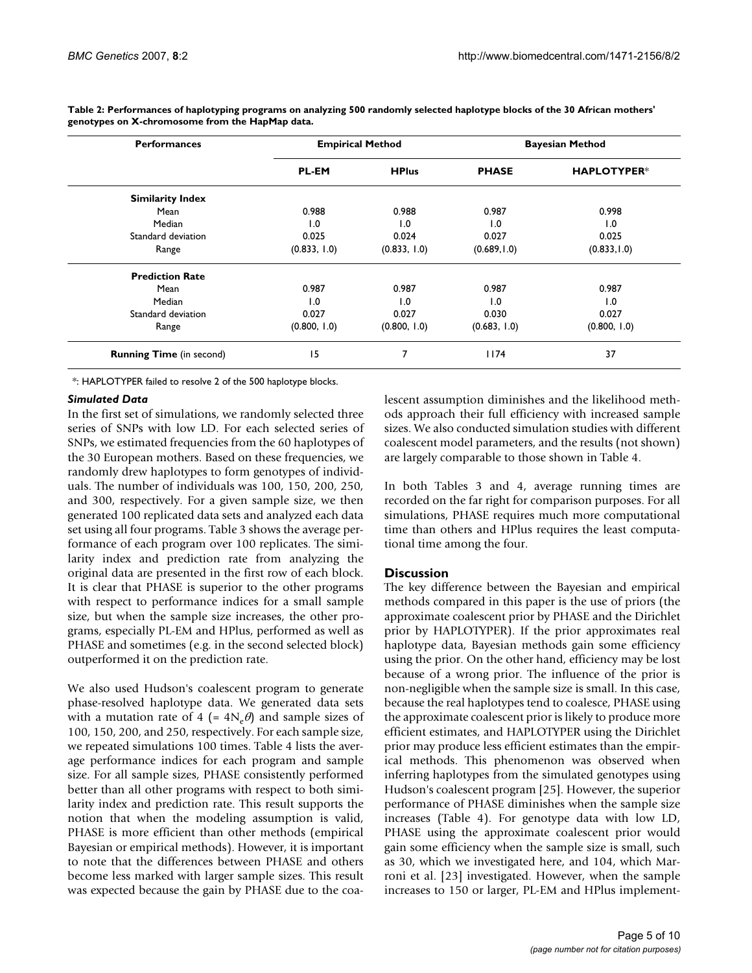| <b>Performances</b>             |              | <b>Empirical Method</b> | <b>Bayesian Method</b> |                    |  |  |
|---------------------------------|--------------|-------------------------|------------------------|--------------------|--|--|
|                                 | <b>PL-EM</b> | <b>HPlus</b>            | <b>PHASE</b>           | <b>HAPLOTYPER*</b> |  |  |
| <b>Similarity Index</b>         |              |                         |                        |                    |  |  |
| Mean                            | 0.988        | 0.988                   | 0.987                  | 0.998              |  |  |
| Median                          | 1.0<br>0.025 | 1.0                     | 1.0                    | 1.0                |  |  |
| Standard deviation              |              | 0.024                   | 0.027                  | 0.025              |  |  |
| Range                           | (0.833, 1.0) | (0.833, 1.0)            | (0.689, 1.0)           | (0.833, 1.0)       |  |  |
| <b>Prediction Rate</b>          |              |                         |                        |                    |  |  |
| Mean                            | 0.987        | 0.987                   | 0.987                  | 0.987              |  |  |
| Median                          | 1.0          | 1.0                     | 1.0                    | 1.0                |  |  |
| Standard deviation              | 0.027        | 0.027                   | 0.030                  | 0.027              |  |  |
| Range                           | (0.800, 1.0) | (0.800, 1.0)            | (0.683, 1.0)           | (0.800, 1.0)       |  |  |
| <b>Running Time</b> (in second) | 15           | 7                       | 1174                   | 37                 |  |  |

**Table 2: Performances of haplotyping programs on analyzing 500 randomly selected haplotype blocks of the 30 African mothers' genotypes on X-chromosome from the HapMap data.**

\*: HAPLOTYPER failed to resolve 2 of the 500 haplotype blocks.

#### *Simulated Data*

In the first set of simulations, we randomly selected three series of SNPs with low LD. For each selected series of SNPs, we estimated frequencies from the 60 haplotypes of the 30 European mothers. Based on these frequencies, we randomly drew haplotypes to form genotypes of individuals. The number of individuals was 100, 150, 200, 250, and 300, respectively. For a given sample size, we then generated 100 replicated data sets and analyzed each data set using all four programs. Table 3 shows the average performance of each program over 100 replicates. The similarity index and prediction rate from analyzing the original data are presented in the first row of each block. It is clear that PHASE is superior to the other programs with respect to performance indices for a small sample size, but when the sample size increases, the other programs, especially PL-EM and HPlus, performed as well as PHASE and sometimes (e.g. in the second selected block) outperformed it on the prediction rate.

We also used Hudson's coalescent program to generate phase-resolved haplotype data. We generated data sets with a mutation rate of 4 (=  $4N_e\theta$ ) and sample sizes of 100, 150, 200, and 250, respectively. For each sample size, we repeated simulations 100 times. Table 4 lists the average performance indices for each program and sample size. For all sample sizes, PHASE consistently performed better than all other programs with respect to both similarity index and prediction rate. This result supports the notion that when the modeling assumption is valid, PHASE is more efficient than other methods (empirical Bayesian or empirical methods). However, it is important to note that the differences between PHASE and others become less marked with larger sample sizes. This result was expected because the gain by PHASE due to the coalescent assumption diminishes and the likelihood methods approach their full efficiency with increased sample sizes. We also conducted simulation studies with different coalescent model parameters, and the results (not shown) are largely comparable to those shown in Table 4.

In both Tables 3 and 4, average running times are recorded on the far right for comparison purposes. For all simulations, PHASE requires much more computational time than others and HPlus requires the least computational time among the four.

#### **Discussion**

The key difference between the Bayesian and empirical methods compared in this paper is the use of priors (the approximate coalescent prior by PHASE and the Dirichlet prior by HAPLOTYPER). If the prior approximates real haplotype data, Bayesian methods gain some efficiency using the prior. On the other hand, efficiency may be lost because of a wrong prior. The influence of the prior is non-negligible when the sample size is small. In this case, because the real haplotypes tend to coalesce, PHASE using the approximate coalescent prior is likely to produce more efficient estimates, and HAPLOTYPER using the Dirichlet prior may produce less efficient estimates than the empirical methods. This phenomenon was observed when inferring haplotypes from the simulated genotypes using Hudson's coalescent program [25]. However, the superior performance of PHASE diminishes when the sample size increases (Table 4). For genotype data with low LD, PHASE using the approximate coalescent prior would gain some efficiency when the sample size is small, such as 30, which we investigated here, and 104, which Marroni et al. [23] investigated. However, when the sample increases to 150 or larger, PL-EM and HPlus implement-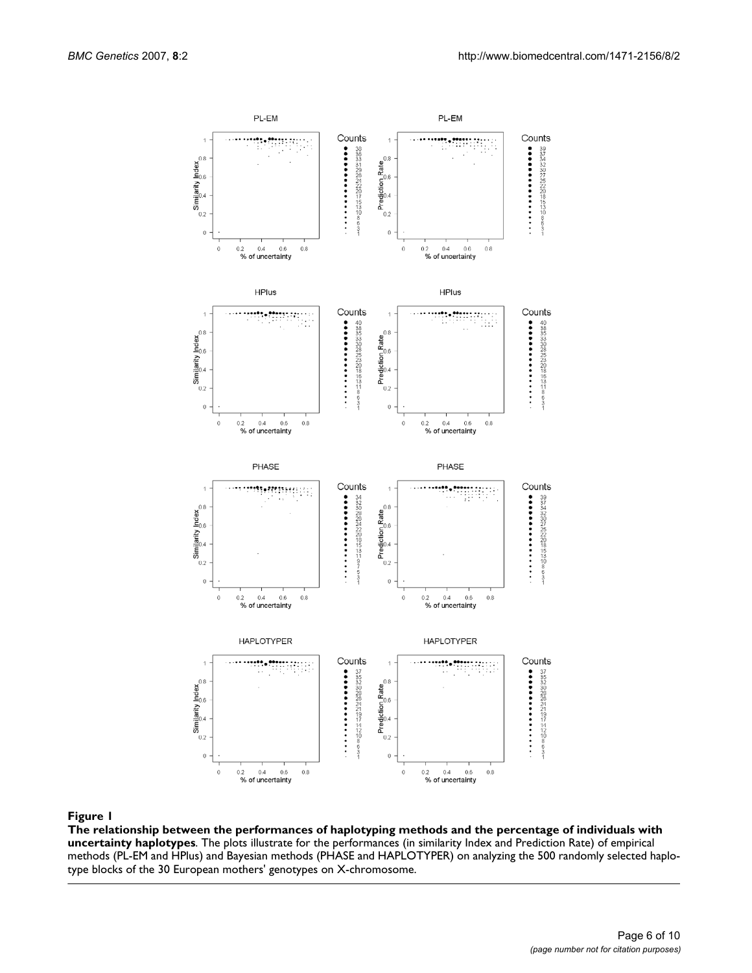

**The relationship between the performances of haplotyping methods and the percentage of individuals with uncertainty haplotypes**. The plots illustrate for the performances (in similarity Index and Prediction Rate) of empirical methods (PL-EM and HPlus) and Bayesian methods (PHASE and HAPLOTYPER) on analyzing the 500 randomly selected haplotype blocks of the 30 European mothers' genotypes on X-chromosome.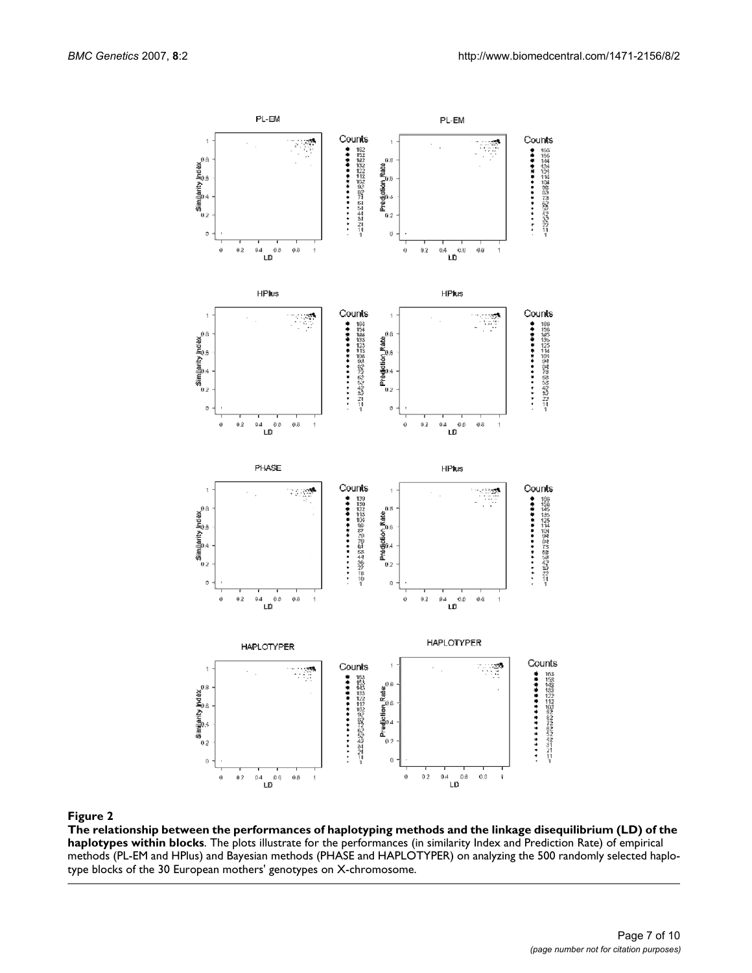

**The relationship between the performances of haplotyping methods and the linkage disequilibrium (LD) of the haplotypes within blocks**. The plots illustrate for the performances (in similarity Index and Prediction Rate) of empirical methods (PL-EM and HPlus) and Bayesian methods (PHASE and HAPLOTYPER) on analyzing the 500 randomly selected haplotype blocks of the 30 European mothers' genotypes on X-chromosome.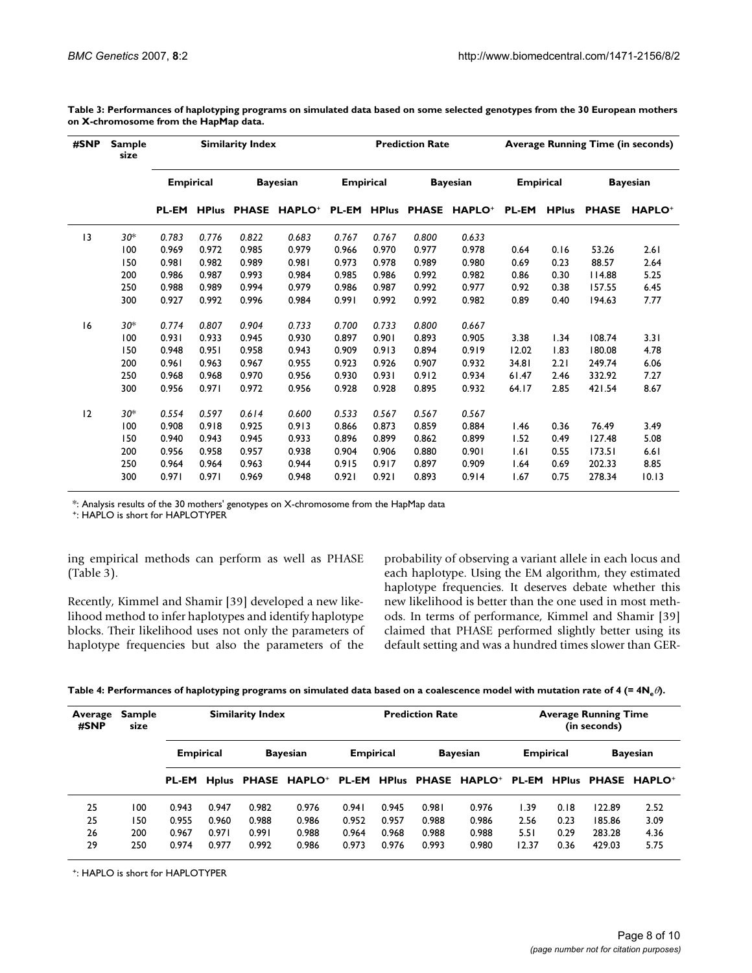| #SNP | <b>Sample</b><br>size |                  |       | <b>Similarity Index</b> |                           | <b>Prediction Rate</b> |              |                 |               | <b>Average Running Time (in seconds)</b> |              |                 |               |
|------|-----------------------|------------------|-------|-------------------------|---------------------------|------------------------|--------------|-----------------|---------------|------------------------------------------|--------------|-----------------|---------------|
|      |                       | <b>Empirical</b> |       | <b>Bayesian</b>         |                           | <b>Empirical</b>       |              | <b>Bayesian</b> |               | <b>Empirical</b>                         |              | <b>Bayesian</b> |               |
|      |                       | <b>PL-EM</b>     |       |                         | <b>HPlus PHASE HAPLO+</b> | <b>PL-EM</b>           | <b>HPlus</b> | <b>PHASE</b>    | <b>HAPLO+</b> | <b>PL-EM</b>                             | <b>HPlus</b> | <b>PHASE</b>    | <b>HAPLO+</b> |
| 3    | $30*$                 | 0.783            | 0.776 | 0.822                   | 0.683                     | 0.767                  | 0.767        | 0.800           | 0.633         |                                          |              |                 |               |
|      | 100                   | 0.969            | 0.972 | 0.985                   | 0.979                     | 0.966                  | 0.970        | 0.977           | 0.978         | 0.64                                     | 0.16         | 53.26           | 2.61          |
|      | 150                   | 0.981            | 0.982 | 0.989                   | 0.981                     | 0.973                  | 0.978        | 0.989           | 0.980         | 0.69                                     | 0.23         | 88.57           | 2.64          |
|      | 200                   | 0.986            | 0.987 | 0.993                   | 0.984                     | 0.985                  | 0.986        | 0.992           | 0.982         | 0.86                                     | 0.30         | 4.88            | 5.25          |
|      | 250                   | 0.988            | 0.989 | 0.994                   | 0.979                     | 0.986                  | 0.987        | 0.992           | 0.977         | 0.92                                     | 0.38         | 157.55          | 6.45          |
|      | 300                   | 0.927            | 0.992 | 0.996                   | 0.984                     | 0.991                  | 0.992        | 0.992           | 0.982         | 0.89                                     | 0.40         | 194.63          | 7.77          |
| 16   | $30*$                 | 0.774            | 0.807 | 0.904                   | 0.733                     | 0.700                  | 0.733        | 0.800           | 0.667         |                                          |              |                 |               |
|      | 100                   | 0.931            | 0.933 | 0.945                   | 0.930                     | 0.897                  | 0.901        | 0.893           | 0.905         | 3.38                                     | 1.34         | 108.74          | 3.31          |
|      | 150                   | 0.948            | 0.951 | 0.958                   | 0.943                     | 0.909                  | 0.913        | 0.894           | 0.919         | 12.02                                    | 1.83         | 180.08          | 4.78          |
|      | 200                   | 0.961            | 0.963 | 0.967                   | 0.955                     | 0.923                  | 0.926        | 0.907           | 0.932         | 34.81                                    | 2.21         | 249.74          | 6.06          |
|      | 250                   | 0.968            | 0.968 | 0.970                   | 0.956                     | 0.930                  | 0.931        | 0.912           | 0.934         | 61.47                                    | 2.46         | 332.92          | 7.27          |
|      | 300                   | 0.956            | 0.971 | 0.972                   | 0.956                     | 0.928                  | 0.928        | 0.895           | 0.932         | 64.17                                    | 2.85         | 421.54          | 8.67          |
| 12   | $30*$                 | 0.554            | 0.597 | 0.614                   | 0.600                     | 0.533                  | 0.567        | 0.567           | 0.567         |                                          |              |                 |               |
|      | 100                   | 0.908            | 0.918 | 0.925                   | 0.913                     | 0.866                  | 0.873        | 0.859           | 0.884         | 1.46                                     | 0.36         | 76.49           | 3.49          |
|      | 150                   | 0.940            | 0.943 | 0.945                   | 0.933                     | 0.896                  | 0.899        | 0.862           | 0.899         | 1.52                                     | 0.49         | 127.48          | 5.08          |
|      | 200                   | 0.956            | 0.958 | 0.957                   | 0.938                     | 0.904                  | 0.906        | 0.880           | 0.901         | 1.61                                     | 0.55         | 173.51          | 6.61          |
|      | 250                   | 0.964            | 0.964 | 0.963                   | 0.944                     | 0.915                  | 0.917        | 0.897           | 0.909         | 1.64                                     | 0.69         | 202.33          | 8.85          |
|      | 300                   | 0.971            | 0.971 | 0.969                   | 0.948                     | 0.921                  | 0.921        | 0.893           | 0.914         | 1.67                                     | 0.75         | 278.34          | 10.13         |

**Table 3: Performances of haplotyping programs on simulated data based on some selected genotypes from the 30 European mothers on X-chromosome from the HapMap data.**

\*: Analysis results of the 30 mothers' genotypes on X-chromosome from the HapMap data

+: HAPLO is short for HAPLOTYPER

ing empirical methods can perform as well as PHASE (Table 3).

Recently, Kimmel and Shamir [39] developed a new likelihood method to infer haplotypes and identify haplotype blocks. Their likelihood uses not only the parameters of haplotype frequencies but also the parameters of the probability of observing a variant allele in each locus and each haplotype. Using the EM algorithm, they estimated haplotype frequencies. It deserves debate whether this new likelihood is better than the one used in most methods. In terms of performance, Kimmel and Shamir [39] claimed that PHASE performed slightly better using its default setting and was a hundred times slower than GER-

Table 4: Performances of haplotyping programs on simulated data based on a coalescence model with mutation rate of 4 (= 4N<sub>e</sub> $\theta$ ).

| Average<br>#SNP | <b>Sample</b><br>size |                  |       | <b>Similarity Index</b> |       |                  |       | <b>Prediction Rate</b> |                                                                           |                  |      | <b>Average Running Time</b><br>(in seconds) |                           |
|-----------------|-----------------------|------------------|-------|-------------------------|-------|------------------|-------|------------------------|---------------------------------------------------------------------------|------------------|------|---------------------------------------------|---------------------------|
|                 |                       | <b>Empirical</b> |       | <b>Bayesian</b>         |       | <b>Empirical</b> |       | <b>Bayesian</b>        |                                                                           | <b>Empirical</b> |      | <b>Bayesian</b>                             |                           |
|                 |                       | <b>PL-EM</b>     |       |                         |       |                  |       |                        | Hplus PHASE HAPLO <sup>+</sup> PL-EM HPlus PHASE HAPLO <sup>+</sup> PL-EM |                  |      | <b>HPlus PHASE</b>                          | <b>HAPLO</b> <sup>+</sup> |
| 25              | 100                   | 0.943            | 0.947 | 0.982                   | 0.976 | 0.941            | 0.945 | 0.981                  | 0.976                                                                     | 1.39             | 0.18 | 122.89                                      | 2.52                      |
| 25              | 150                   | 0.955            | 0.960 | 0.988                   | 0.986 | 0.952            | 0.957 | 0.988                  | 0.986                                                                     | 2.56             | 0.23 | 185.86                                      | 3.09                      |
| 26              | 200                   | 0.967            | 0.971 | 0.991                   | 0.988 | 0.964            | 0.968 | 0.988                  | 0.988                                                                     | 5.51             | 0.29 | 283.28                                      | 4.36                      |
| 29              | 250                   | 0.974            | 0.977 | 0.992                   | 0.986 | 0.973            | 0.976 | 0.993                  | 0.980                                                                     | 12.37            | 0.36 | 429.03                                      | 5.75                      |

+: HAPLO is short for HAPLOTYPER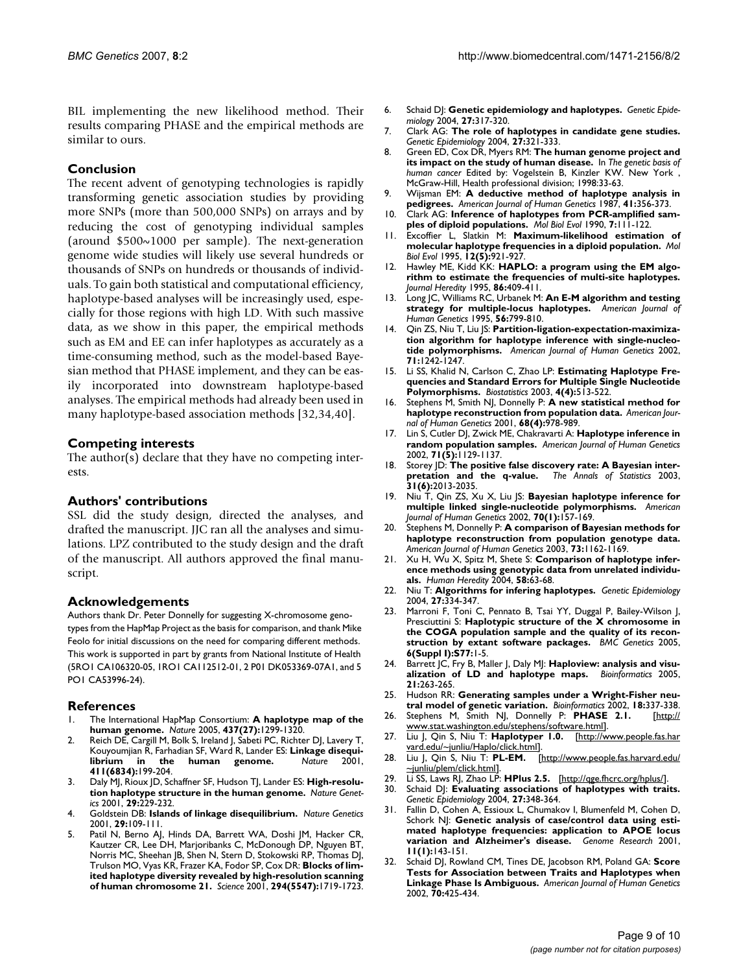BIL implementing the new likelihood method. Their results comparing PHASE and the empirical methods are similar to ours.

#### **Conclusion**

The recent advent of genotyping technologies is rapidly transforming genetic association studies by providing more SNPs (more than 500,000 SNPs) on arrays and by reducing the cost of genotyping individual samples (around \$500~1000 per sample). The next-generation genome wide studies will likely use several hundreds or thousands of SNPs on hundreds or thousands of individuals. To gain both statistical and computational efficiency, haplotype-based analyses will be increasingly used, especially for those regions with high LD. With such massive data, as we show in this paper, the empirical methods such as EM and EE can infer haplotypes as accurately as a time-consuming method, such as the model-based Bayesian method that PHASE implement, and they can be easily incorporated into downstream haplotype-based analyses. The empirical methods had already been used in many haplotype-based association methods [32,34,40].

#### **Competing interests**

The author( $\overline{s}$ ) declare that they have no competing interests.

#### **Authors' contributions**

SSL did the study design, directed the analyses, and drafted the manuscript. JJC ran all the analyses and simulations. LPZ contributed to the study design and the draft of the manuscript. All authors approved the final manuscript.

#### **Acknowledgements**

Authors thank Dr. Peter Donnelly for suggesting X-chromosome genotypes from the HapMap Project as the basis for comparison, and thank Mike Feolo for initial discussions on the need for comparing different methods. This work is supported in part by grants from National Institute of Health (5RO1 CA106320-05, 1RO1 CA112512-01, 2 P01 DK053369-07A1, and 5 PO1 CA53996-24).

#### **References**

- 1. The International HapMap Consortium: **[A haplotype map of the](http://www.ncbi.nlm.nih.gov/entrez/query.fcgi?cmd=Retrieve&db=PubMed&dopt=Abstract&list_uids=16255080) [human genome.](http://www.ncbi.nlm.nih.gov/entrez/query.fcgi?cmd=Retrieve&db=PubMed&dopt=Abstract&list_uids=16255080)** *Nature* 2005, **437(27):**1299-1320.
- 2. Reich DE, Cargill M, Bolk S, Ireland J, Sabeti PC, Richter DJ, Lavery T, Kouyoumjian R, Farhadian SF, Ward R, Lander ES: **Linkage disequi-**<br>**librium** in the human genome. Nature 2001, **human** genome. **411(6834):**199-204.
- 3. Daly MJ, Rioux JD, Schaffner SF, Hudson TJ, Lander ES: **[High-resolu](http://www.ncbi.nlm.nih.gov/entrez/query.fcgi?cmd=Retrieve&db=PubMed&dopt=Abstract&list_uids=11586305)[tion haplotype structure in the human genome.](http://www.ncbi.nlm.nih.gov/entrez/query.fcgi?cmd=Retrieve&db=PubMed&dopt=Abstract&list_uids=11586305)** *Nature Genetics* 2001, **29:**229-232.
- 4. Goldstein DB: **[Islands of linkage disequilibrium.](http://www.ncbi.nlm.nih.gov/entrez/query.fcgi?cmd=Retrieve&db=PubMed&dopt=Abstract&list_uids=11586289)** *Nature Genetics* 2001, **29:**109-111.
- 5. Patil N, Berno AJ, Hinds DA, Barrett WA, Doshi JM, Hacker CR, Kautzer CR, Lee DH, Marjoribanks C, McDonough DP, Nguyen BT, Norris MC, Sheehan JB, Shen N, Stern D, Stokowski RP, Thomas DJ, Trulson MO, Vyas KR, Frazer KA, Fodor SP, Cox DR: **[Blocks of lim](http://www.ncbi.nlm.nih.gov/entrez/query.fcgi?cmd=Retrieve&db=PubMed&dopt=Abstract&list_uids=11721056)[ited haplotype diversity revealed by high-resolution scanning](http://www.ncbi.nlm.nih.gov/entrez/query.fcgi?cmd=Retrieve&db=PubMed&dopt=Abstract&list_uids=11721056) [of human chromosome 21.](http://www.ncbi.nlm.nih.gov/entrez/query.fcgi?cmd=Retrieve&db=PubMed&dopt=Abstract&list_uids=11721056)** *Science* 2001, **294(5547):**1719-1723.
- 6. Schaid DJ: **[Genetic epidemiology and haplotypes.](http://www.ncbi.nlm.nih.gov/entrez/query.fcgi?cmd=Retrieve&db=PubMed&dopt=Abstract&list_uids=15543637)** *Genetic Epidemiology* 2004, **27:**317-320.
- 7. Clark AG: **[The role of haplotypes in candidate gene studies.](http://www.ncbi.nlm.nih.gov/entrez/query.fcgi?cmd=Retrieve&db=PubMed&dopt=Abstract&list_uids=15368617)** *Genetic Epidemiology* 2004, **27:**321-333.
- 8. Green ED, Cox DR, Myers RM: **The human genome project and its impact on the study of human disease.** In *The genetic basis of human cancer* Edited by: Vogelstein B, Kinzler KW. New York , McGraw-Hill, Health professional division; 1998:33-63.
- 9. Wijsman EM: **[A deductive method of haplotype analysis in](http://www.ncbi.nlm.nih.gov/entrez/query.fcgi?cmd=Retrieve&db=PubMed&dopt=Abstract&list_uids=3115093) [pedigrees.](http://www.ncbi.nlm.nih.gov/entrez/query.fcgi?cmd=Retrieve&db=PubMed&dopt=Abstract&list_uids=3115093)** *American Journal of Human Genetics* 1987, **41:**356-373.
- 10. Clark AG: **[Inference of haplotypes from PCR-amplified sam](http://www.ncbi.nlm.nih.gov/entrez/query.fcgi?cmd=Retrieve&db=PubMed&dopt=Abstract&list_uids=2108305)[ples of diploid populations.](http://www.ncbi.nlm.nih.gov/entrez/query.fcgi?cmd=Retrieve&db=PubMed&dopt=Abstract&list_uids=2108305)** *Mol Biol Evol* 1990, **7:**111-122.
- 11. Excoffier L, Slatkin M: **[Maximum-likelihood estimation of](http://www.ncbi.nlm.nih.gov/entrez/query.fcgi?cmd=Retrieve&db=PubMed&dopt=Abstract&list_uids=7476138) [molecular haplotype frequencies in a diploid population.](http://www.ncbi.nlm.nih.gov/entrez/query.fcgi?cmd=Retrieve&db=PubMed&dopt=Abstract&list_uids=7476138)** *Mol Biol Evol* 1995, **12(5):**921-927.
- 12. Hawley ME, Kidd KK: **HAPLO: a program using the EM algorithm to estimate the frequencies of multi-site haplotypes.** *Journal Heredity* 1995, **86:**409-411.
- 13. Long JC, Williams RC, Urbanek M: **[An E-M algorithm and testing](http://www.ncbi.nlm.nih.gov/entrez/query.fcgi?cmd=Retrieve&db=PubMed&dopt=Abstract&list_uids=7887436) [strategy for multiple-locus haplotypes.](http://www.ncbi.nlm.nih.gov/entrez/query.fcgi?cmd=Retrieve&db=PubMed&dopt=Abstract&list_uids=7887436)** *American Journal of Human Genetics* 1995, **56:**799-810.
- 14. Qin ZS, Niu T, Liu JS: **[Partition-ligation-expectation-maximiza](http://www.ncbi.nlm.nih.gov/entrez/query.fcgi?cmd=Retrieve&db=PubMed&dopt=Abstract&list_uids=12452179)[tion algorithm for haplotype inference with single-nucleo](http://www.ncbi.nlm.nih.gov/entrez/query.fcgi?cmd=Retrieve&db=PubMed&dopt=Abstract&list_uids=12452179)[tide polymorphisms.](http://www.ncbi.nlm.nih.gov/entrez/query.fcgi?cmd=Retrieve&db=PubMed&dopt=Abstract&list_uids=12452179)** *American Journal of Human Genetics* 2002, **71:**1242-1247.
- 15. Li SS, Khalid N, Carlson C, Zhao LP: **[Estimating Haplotype Fre](http://www.ncbi.nlm.nih.gov/entrez/query.fcgi?cmd=Retrieve&db=PubMed&dopt=Abstract&list_uids=14557108)[quencies and Standard Errors for Multiple Single Nucleotide](http://www.ncbi.nlm.nih.gov/entrez/query.fcgi?cmd=Retrieve&db=PubMed&dopt=Abstract&list_uids=14557108) [Polymorphisms.](http://www.ncbi.nlm.nih.gov/entrez/query.fcgi?cmd=Retrieve&db=PubMed&dopt=Abstract&list_uids=14557108)** *Biostatistics* 2003, **4(4):**513-522.
- 16. Stephens M, Smith NJ, Donnelly P: **[A new statistical method for](http://www.ncbi.nlm.nih.gov/entrez/query.fcgi?cmd=Retrieve&db=PubMed&dopt=Abstract&list_uids=11254454) [haplotype reconstruction from population data.](http://www.ncbi.nlm.nih.gov/entrez/query.fcgi?cmd=Retrieve&db=PubMed&dopt=Abstract&list_uids=11254454)** *American Journal of Human Genetics* 2001, **68(4):**978-989.
- 17. Lin S, Cutler DJ, Zwick ME, Chakravarti A: **[Haplotype inference in](http://www.ncbi.nlm.nih.gov/entrez/query.fcgi?cmd=Retrieve&db=PubMed&dopt=Abstract&list_uids=12386835) [random population samples.](http://www.ncbi.nlm.nih.gov/entrez/query.fcgi?cmd=Retrieve&db=PubMed&dopt=Abstract&list_uids=12386835)** *American Journal of Human Genetics* 2002, **71(5):**1129-1137.
- 18. Storey JD: **The positive false discovery rate: A Bayesian interpretation and the q-value.** *The Annals of Statistics* 2003, **31(6):**2013-2035.
- 19. Niu T, Qin ZS, Xu X, Liu JS: **[Bayesian haplotype inference for](http://www.ncbi.nlm.nih.gov/entrez/query.fcgi?cmd=Retrieve&db=PubMed&dopt=Abstract&list_uids=11741196) [multiple linked single-nucleotide polymorphisms.](http://www.ncbi.nlm.nih.gov/entrez/query.fcgi?cmd=Retrieve&db=PubMed&dopt=Abstract&list_uids=11741196)** *American Journal of Human Genetics* 2002, **70(1):**157-169.
- Stephens M, Donnelly P: [A comparison of Bayesian methods for](http://www.ncbi.nlm.nih.gov/entrez/query.fcgi?cmd=Retrieve&db=PubMed&dopt=Abstract&list_uids=14574645) **[haplotype reconstruction from population genotype data.](http://www.ncbi.nlm.nih.gov/entrez/query.fcgi?cmd=Retrieve&db=PubMed&dopt=Abstract&list_uids=14574645)** *American Journal of Human Genetics* 2003, **73:**1162-1169.
- 21. Xu H, Wu X, Spitz M, Shete S: **[Comparison of haplotype infer](http://www.ncbi.nlm.nih.gov/entrez/query.fcgi?cmd=Retrieve&db=PubMed&dopt=Abstract&list_uids=15711085)[ence methods using genotypic data from unrelated individu](http://www.ncbi.nlm.nih.gov/entrez/query.fcgi?cmd=Retrieve&db=PubMed&dopt=Abstract&list_uids=15711085)[als.](http://www.ncbi.nlm.nih.gov/entrez/query.fcgi?cmd=Retrieve&db=PubMed&dopt=Abstract&list_uids=15711085)** *Human Heredity* 2004, **58:**63-68.
- 22. Niu T: **[Algorithms for infering haplotypes.](http://www.ncbi.nlm.nih.gov/entrez/query.fcgi?cmd=Retrieve&db=PubMed&dopt=Abstract&list_uids=15368348)** *Genetic Epidemiology* 2004, **27:**334-347.
- 23. Marroni F, Toni C, Pennato B, Tsai YY, Duggal P, Bailey-Wilson J, Presciuttini S: **Haplotypic structure of the X chromosome in the COGA population sample and the quality of its reconstruction by extant software packages.** *BMC Genetics* 2005, **6(Suppl I):S77:**1-5.
- 24. Barrett JC, Fry B, Maller J, Daly MJ: **[Haploview: analysis and visu](http://www.ncbi.nlm.nih.gov/entrez/query.fcgi?cmd=Retrieve&db=PubMed&dopt=Abstract&list_uids=15297300)[alization of LD and haplotype maps.](http://www.ncbi.nlm.nih.gov/entrez/query.fcgi?cmd=Retrieve&db=PubMed&dopt=Abstract&list_uids=15297300)** *Bioinformatics* 2005, **21:**263-265.
- 25. Hudson RR: **[Generating samples under a Wright-Fisher neu](http://www.ncbi.nlm.nih.gov/entrez/query.fcgi?cmd=Retrieve&db=PubMed&dopt=Abstract&list_uids=11847089)[tral model of genetic variation.](http://www.ncbi.nlm.nih.gov/entrez/query.fcgi?cmd=Retrieve&db=PubMed&dopt=Abstract&list_uids=11847089)** *Bioinformatics* 2002, **18:**337-338.
- 26. Stephens M, Smith NJ, Donnelly P: PHASE 2.1. [www.stat.washington.edu/stephens/software.html](http://www.stat.washington.edu/stephens/software.html)].
- 27. Liu J, Qin S, Niu T: **Haplotyper 1.0.** [\[http://www.people.fas.har](http://www.people.fas.harvard.edu/~junliu/Haplo/click.html)
- [vard.edu/~junliu/Haplo/click.html\]](http://www.people.fas.harvard.edu/~junliu/Haplo/click.html)<br>28. Liu J, Qin S, Niu T: **PL-EM.**  $[http://www.people.fas.harvard.edu/$ [~junliu/plem/click.html\]](http://www.people.fas.harvard.edu/~junliu/plem/click.html).
- 29. Li SS, Laws RJ, Zhao LP: **HPlus 2.5.** [\[http://qge.fhcrc.org/hplus/](http://qge.fhcrc.org/hplus/)].
- 30. Schaid DJ: **[Evaluating associations of haplotypes with traits.](http://www.ncbi.nlm.nih.gov/entrez/query.fcgi?cmd=Retrieve&db=PubMed&dopt=Abstract&list_uids=15543638)** *Genetic Epidemiology* 2004, **27:**348-364.
- 31. Fallin D, Cohen A, Essioux L, Chumakov I, Blumenfeld M, Cohen D, Schork N|: [Genetic analysis of case/control data using esti](http://www.ncbi.nlm.nih.gov/entrez/query.fcgi?cmd=Retrieve&db=PubMed&dopt=Abstract&list_uids=11156623)**[mated haplotype frequencies: application to APOE locus](http://www.ncbi.nlm.nih.gov/entrez/query.fcgi?cmd=Retrieve&db=PubMed&dopt=Abstract&list_uids=11156623) [variation and Alzheimer's disease.](http://www.ncbi.nlm.nih.gov/entrez/query.fcgi?cmd=Retrieve&db=PubMed&dopt=Abstract&list_uids=11156623)** *Genome Research* 2001, **11(1):**143-151.
- 32. Schaid DJ, Rowland CM, Tines DE, Jacobson RM, Poland GA: **[Score](http://www.ncbi.nlm.nih.gov/entrez/query.fcgi?cmd=Retrieve&db=PubMed&dopt=Abstract&list_uids=11791212) [Tests for Association between Traits and Haplotypes when](http://www.ncbi.nlm.nih.gov/entrez/query.fcgi?cmd=Retrieve&db=PubMed&dopt=Abstract&list_uids=11791212) [Linkage Phase Is Ambiguous.](http://www.ncbi.nlm.nih.gov/entrez/query.fcgi?cmd=Retrieve&db=PubMed&dopt=Abstract&list_uids=11791212)** *American Journal of Human Genetics* 2002, **70:**425-434.